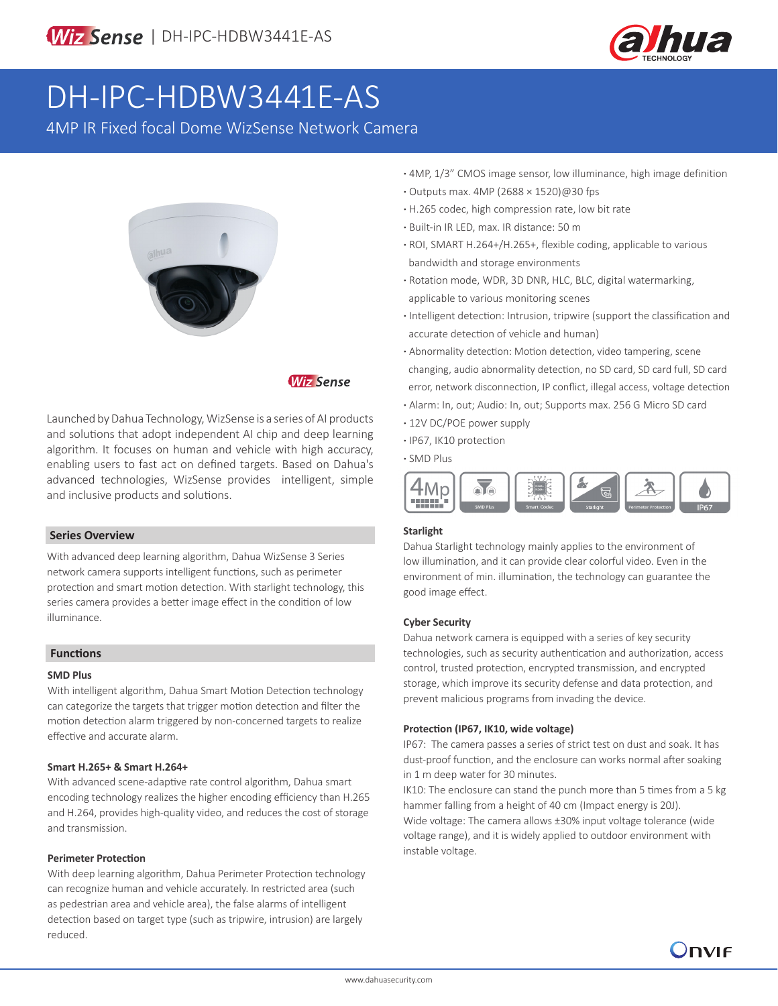

# DH-IPC-HDBW3441E-AS

4MP IR Fixed focal Dome WizSense Network Camera



## **Wiz Sense**

Launched by Dahua Technology, WizSense is a series of AI products and solutions that adopt independent AI chip and deep learning algorithm. It focuses on human and vehicle with high accuracy, enabling users to fast act on defined targets. Based on Dahua's advanced technologies, WizSense provides intelligent, simple and inclusive products and solutions.

#### **Series Overview**

With advanced deep learning algorithm, Dahua WizSense 3 Series network camera supports intelligent functions, such as perimeter protection and smart motion detection. With starlight technology, this series camera provides a better image effect in the condition of low illuminance.

#### **Functions**

#### **SMD Plus**

With intelligent algorithm, Dahua Smart Motion Detection technology can categorize the targets that trigger motion detection and filter the motion detection alarm triggered by non-concerned targets to realize effective and accurate alarm.

#### **Smart H.265+ & Smart H.264+**

With advanced scene-adaptive rate control algorithm, Dahua smart encoding technology realizes the higher encoding efficiency than H.265 and H.264, provides high-quality video, and reduces the cost of storage and transmission.

#### **Perimeter Protection**

With deep learning algorithm, Dahua Perimeter Protection technology can recognize human and vehicle accurately. In restricted area (such as pedestrian area and vehicle area), the false alarms of intelligent detection based on target type (such as tripwire, intrusion) are largely reduced.

- **·** 4MP, 1/3" CMOS image sensor, low illuminance, high image definition
- **·** Outputs max. 4MP (2688 × 1520)@30 fps
- **·** H.265 codec, high compression rate, low bit rate
- **·** Built-in IR LED, max. IR distance: 50 m
- **·** ROI, SMART H.264+/H.265+, flexible coding, applicable to various bandwidth and storage environments
- **·** Rotation mode, WDR, 3D DNR, HLC, BLC, digital watermarking, applicable to various monitoring scenes
- **·** Intelligent detection: Intrusion, tripwire (support the classification and accurate detection of vehicle and human)
- **·** Abnormality detection: Motion detection, video tampering, scene changing, audio abnormality detection, no SD card, SD card full, SD card error, network disconnection, IP conflict, illegal access, voltage detection
- **·** Alarm: In, out; Audio: In, out; Supports max. 256 G Micro SD card
- **·** 12V DC/POE power supply
- **·** IP67, IK10 protection
- **·** SMD Plus



#### **Starlight**

Dahua Starlight technology mainly applies to the environment of low illumination, and it can provide clear colorful video. Even in the environment of min. illumination, the technology can guarantee the good image effect.

#### **Cyber Security**

Dahua network camera is equipped with a series of key security technologies, such as security authentication and authorization, access control, trusted protection, encrypted transmission, and encrypted storage, which improve its security defense and data protection, and prevent malicious programs from invading the device.

#### **Protection (IP67, IK10, wide voltage)**

IP67: The camera passes a series of strict test on dust and soak. It has dust-proof function, and the enclosure can works normal after soaking in 1 m deep water for 30 minutes.

IK10: The enclosure can stand the punch more than 5 times from a 5 kg hammer falling from a height of 40 cm (Impact energy is 20J).

Wide voltage: The camera allows ±30% input voltage tolerance (wide voltage range), and it is widely applied to outdoor environment with instable voltage.

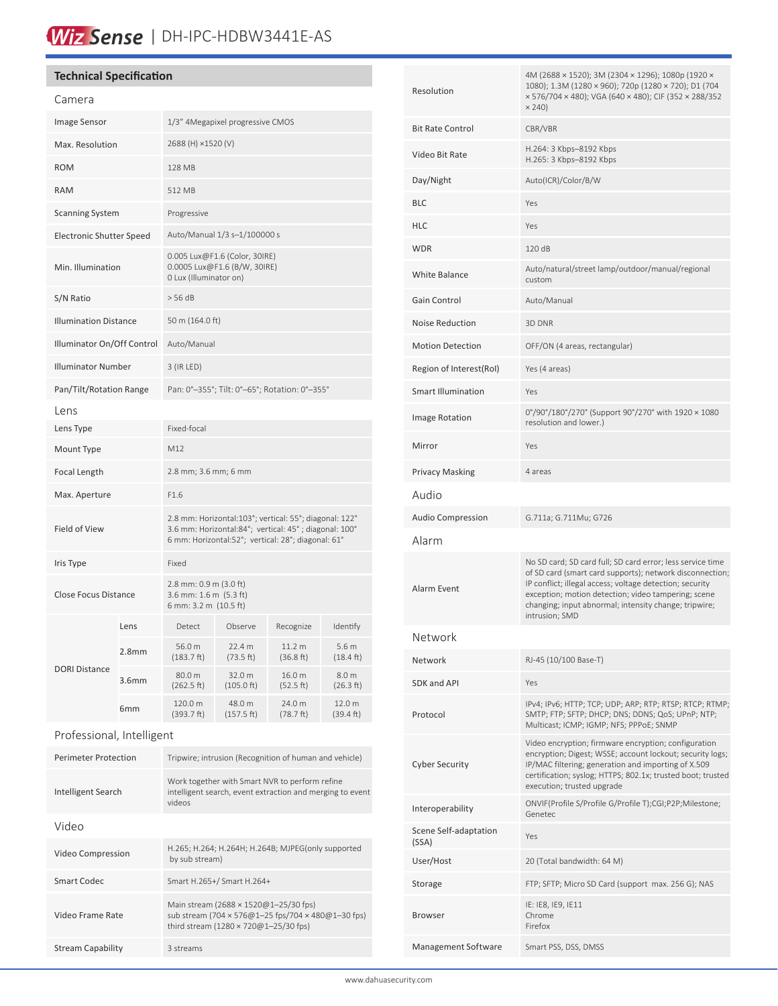# Wiz Sense | DH-IPC-HDBW3441E-AS

### **Technical Specification**

| Camera                          |                   |                                                                                                                                                                       |                      |                                |                              |
|---------------------------------|-------------------|-----------------------------------------------------------------------------------------------------------------------------------------------------------------------|----------------------|--------------------------------|------------------------------|
| Image Sensor                    |                   | 1/3" 4Megapixel progressive CMOS                                                                                                                                      |                      |                                |                              |
| Max. Resolution                 |                   | 2688 (H) ×1520 (V)                                                                                                                                                    |                      |                                |                              |
| <b>ROM</b>                      |                   | 128 MB                                                                                                                                                                |                      |                                |                              |
| <b>RAM</b>                      |                   | 512 MB                                                                                                                                                                |                      |                                |                              |
| <b>Scanning System</b>          |                   | Progressive                                                                                                                                                           |                      |                                |                              |
| <b>Electronic Shutter Speed</b> |                   | Auto/Manual 1/3 s-1/100000 s                                                                                                                                          |                      |                                |                              |
| Min. Illumination               |                   | 0.005 Lux@F1.6 (Color, 30IRE)<br>0.0005 Lux@F1.6 (B/W, 30IRE)<br>0 Lux (Illuminator on)                                                                               |                      |                                |                              |
| S/N Ratio                       |                   | > 56 dB                                                                                                                                                               |                      |                                |                              |
| <b>Illumination Distance</b>    |                   | 50 m (164.0 ft)                                                                                                                                                       |                      |                                |                              |
| Illuminator On/Off Control      |                   | Auto/Manual                                                                                                                                                           |                      |                                |                              |
| <b>Illuminator Number</b>       |                   | 3 (IR LED)                                                                                                                                                            |                      |                                |                              |
| Pan/Tilt/Rotation Range         |                   | Pan: 0°-355°; Tilt: 0°-65°; Rotation: 0°-355°                                                                                                                         |                      |                                |                              |
| l ens                           |                   |                                                                                                                                                                       |                      |                                |                              |
| Lens Type                       |                   | Fixed-focal                                                                                                                                                           |                      |                                |                              |
| Mount Type                      |                   | M12                                                                                                                                                                   |                      |                                |                              |
| Focal Length                    |                   | 2.8 mm; 3.6 mm; 6 mm                                                                                                                                                  |                      |                                |                              |
| Max. Aperture                   |                   | F1.6                                                                                                                                                                  |                      |                                |                              |
| Field of View                   |                   | 2.8 mm: Horizontal:103°; vertical: 55°; diagonal: 122°<br>3.6 mm: Horizontal:84°; vertical: 45°; diagonal: 100°<br>6 mm: Horizontal:52°; vertical: 28°; diagonal: 61° |                      |                                |                              |
| Iris Type                       |                   | Fixed                                                                                                                                                                 |                      |                                |                              |
| Close Focus Distance            |                   | 2.8 mm: 0.9 m (3.0 ft)<br>3.6 mm: 1.6 m (5.3 ft)<br>6 mm: 3.2 m (10.5 ft)                                                                                             |                      |                                |                              |
|                                 | Lens              | Detect                                                                                                                                                                | Observe              | Recognize                      | Identify                     |
| <b>DORI Distance</b>            | 2.8 <sub>mm</sub> | 56.0 m<br>(183.7 ft)                                                                                                                                                  | 22.4 m<br>(73.5 ft)  | 11.2 <sub>m</sub><br>(36.8 ft) | 5.6 m<br>$(18.4 \text{ ft})$ |
|                                 | 3.6 <sub>mm</sub> | 80.0 m<br>(262.5 ft)                                                                                                                                                  | 32.0 m<br>(105.0 ft) | 16.0 m<br>(52.5 ft)            | 8.0 m<br>(26.3 ft)           |
|                                 | 6mm               | 120.0 m<br>(393.7 ft)                                                                                                                                                 | 48.0 m<br>(157.5 ft) | 24.0 m<br>(78.7 ft)            | 12.0 m<br>(39.4 ft)          |
| Professional, Intelligent       |                   |                                                                                                                                                                       |                      |                                |                              |
| <b>Perimeter Protection</b>     |                   | Tripwire; intrusion (Recognition of human and vehicle)                                                                                                                |                      |                                |                              |

| Intelligent Search       | Work together with Smart NVR to perform refine<br>intelligent search, event extraction and merging to event<br>videos                |  |
|--------------------------|--------------------------------------------------------------------------------------------------------------------------------------|--|
| Video                    |                                                                                                                                      |  |
| Video Compression        | H.265; H.264; H.264H; H.264B; MJPEG(only supported<br>by sub stream)                                                                 |  |
| <b>Smart Codec</b>       | Smart H.265+/ Smart H.264+                                                                                                           |  |
| Video Frame Rate         | Main stream (2688 × 1520@1-25/30 fps)<br>sub stream (704 × 576@1-25 fps/704 × 480@1-30 fps)<br>third stream (1280 × 720@1-25/30 fps) |  |
| <b>Stream Capability</b> | 3 streams                                                                                                                            |  |

| Resolution                     | 4M (2688 × 1520); 3M (2304 × 1296); 1080p (1920 ×<br>1080); 1.3M (1280 × 960); 720p (1280 × 720); D1 (704<br>× 576/704 × 480); VGA (640 × 480); CIF (352 × 288/352<br>$\times$ 240)                                                                                                                                  |  |
|--------------------------------|----------------------------------------------------------------------------------------------------------------------------------------------------------------------------------------------------------------------------------------------------------------------------------------------------------------------|--|
| <b>Bit Rate Control</b>        | CBR/VBR                                                                                                                                                                                                                                                                                                              |  |
| Video Bit Rate                 | H.264: 3 Kbps-8192 Kbps<br>H.265: 3 Kbps-8192 Kbps                                                                                                                                                                                                                                                                   |  |
| Day/Night                      | Auto(ICR)/Color/B/W                                                                                                                                                                                                                                                                                                  |  |
| BLC                            | Yes                                                                                                                                                                                                                                                                                                                  |  |
| HLC                            | Yes                                                                                                                                                                                                                                                                                                                  |  |
| WDR                            | 120 dB                                                                                                                                                                                                                                                                                                               |  |
| <b>White Balance</b>           | Auto/natural/street lamp/outdoor/manual/regional<br>custom                                                                                                                                                                                                                                                           |  |
| Gain Control                   | Auto/Manual                                                                                                                                                                                                                                                                                                          |  |
| <b>Noise Reduction</b>         | 3D DNR                                                                                                                                                                                                                                                                                                               |  |
| <b>Motion Detection</b>        | OFF/ON (4 areas, rectangular)                                                                                                                                                                                                                                                                                        |  |
| Region of Interest(RoI)        | Yes (4 areas)                                                                                                                                                                                                                                                                                                        |  |
| <b>Smart Illumination</b>      | Yes                                                                                                                                                                                                                                                                                                                  |  |
| <b>Image Rotation</b>          | 0°/90°/180°/270° (Support 90°/270° with 1920 × 1080<br>resolution and lower.)                                                                                                                                                                                                                                        |  |
| Mirror                         | Yes                                                                                                                                                                                                                                                                                                                  |  |
| Privacy Masking                | 4 areas                                                                                                                                                                                                                                                                                                              |  |
| Audio                          |                                                                                                                                                                                                                                                                                                                      |  |
| Audio Compression              | G.711a; G.711Mu; G726                                                                                                                                                                                                                                                                                                |  |
| Alarm                          |                                                                                                                                                                                                                                                                                                                      |  |
| Alarm Event                    | No SD card; SD card full; SD card error; less service time<br>of SD card (smart card supports); network disconnection;<br>IP conflict; illegal access; voltage detection; security<br>exception; motion detection; video tampering; scene<br>changing; input abnormal; intensity change; tripwire;<br>intrusion; SMD |  |
| Network                        |                                                                                                                                                                                                                                                                                                                      |  |
| Network                        | RJ-45 (10/100 Base-T)                                                                                                                                                                                                                                                                                                |  |
| SDK and API                    | Yes                                                                                                                                                                                                                                                                                                                  |  |
| Protocol                       | IPv4; IPv6; HTTP; TCP; UDP; ARP; RTP; RTSP; RTCP; RTMP;<br>SMTP; FTP; SFTP; DHCP; DNS; DDNS; QoS; UPnP; NTP;<br>Multicast; ICMP; IGMP; NFS; PPPoE; SNMP                                                                                                                                                              |  |
| <b>Cyber Security</b>          | Video encryption; firmware encryption; configuration<br>encryption; Digest; WSSE; account lockout; security logs;<br>IP/MAC filtering; generation and importing of X.509<br>certification; syslog; HTTPS; 802.1x; trusted boot; trusted<br>execution; trusted upgrade                                                |  |
| Interoperability               | ONVIF(Profile S/Profile G/Profile T);CGI;P2P;Milestone;<br>Genetec                                                                                                                                                                                                                                                   |  |
| Scene Self-adaptation<br>(SSA) | Yes                                                                                                                                                                                                                                                                                                                  |  |
| User/Host                      | 20 (Total bandwidth: 64 M)                                                                                                                                                                                                                                                                                           |  |
| Storage                        | FTP; SFTP; Micro SD Card (support max. 256 G); NAS                                                                                                                                                                                                                                                                   |  |
| Browser                        | IE: IE8, IE9, IE11<br>Chrome<br>Firefox                                                                                                                                                                                                                                                                              |  |
| Management Software            | Smart PSS, DSS, DMSS                                                                                                                                                                                                                                                                                                 |  |